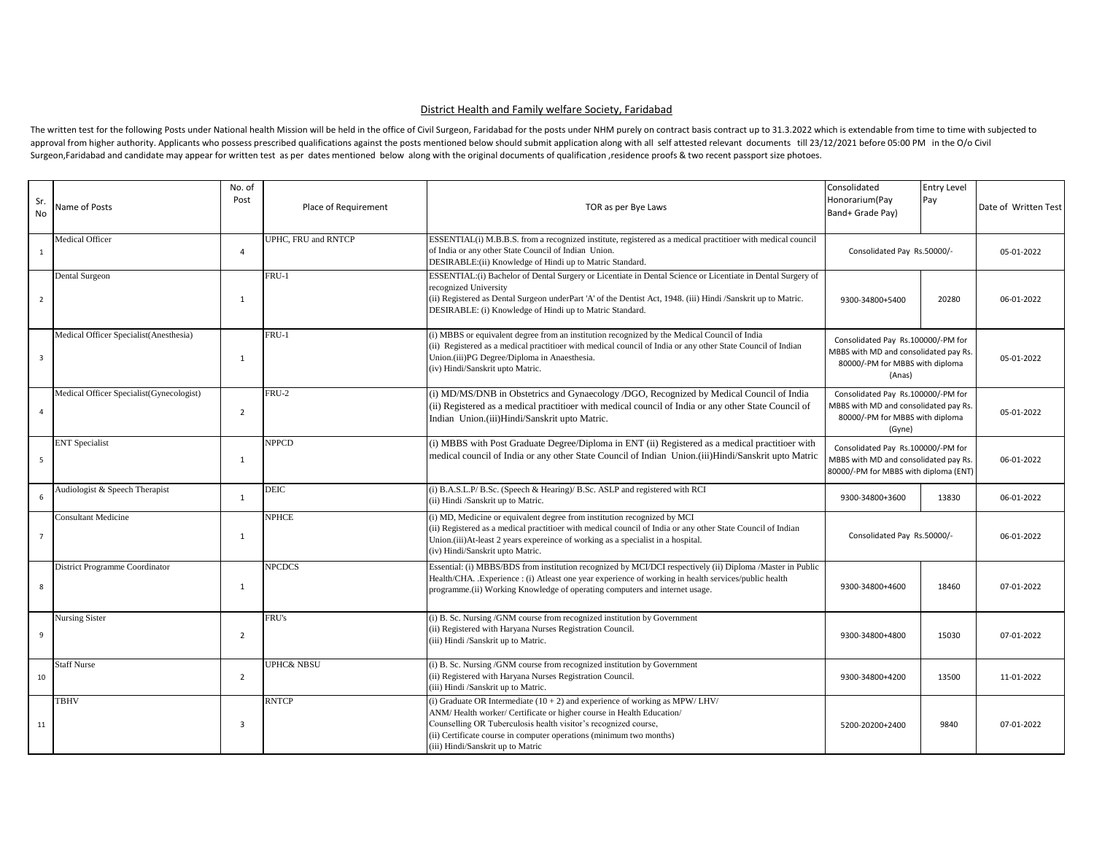## District Health and Family welfare Society, Faridabad

The written test for the following Posts under National health Mission will be held in the office of Civil Surgeon, Faridabad for the posts under NHM purely on contract basis contract up to 31.3.2022 which is extendable fr approval from higher authority. Applicants who possess prescribed qualifications against the posts mentioned below should submit application along with all self attested relevant documents till 23/12/2021 before 05:00 PM i Surgeon,Faridabad and candidate may appear for written test as per dates mentioned below along with the original documents of qualification , residence proofs & two recent passport size photoes.

| Sr.<br><b>No</b>        | Name of Posts                            | No. of<br>Post | Place of Requirement | TOR as per Bye Laws                                                                                                                                                                                                                                                                                                                  | Consolidated<br>Honorarium(Pay<br>Band+ Grade Pay)                                                                       | Entry Level<br>Pay | Date of Written Test |
|-------------------------|------------------------------------------|----------------|----------------------|--------------------------------------------------------------------------------------------------------------------------------------------------------------------------------------------------------------------------------------------------------------------------------------------------------------------------------------|--------------------------------------------------------------------------------------------------------------------------|--------------------|----------------------|
|                         | Medical Officer                          |                | UPHC. FRU and RNTCP  | ESSENTIAL(i) M.B.B.S. from a recognized institute, registered as a medical practitioer with medical council                                                                                                                                                                                                                          |                                                                                                                          |                    |                      |
| 1                       |                                          | $\overline{4}$ |                      | of India or any other State Council of Indian Union.<br>DESIRABLE:(ii) Knowledge of Hindi up to Matric Standard.                                                                                                                                                                                                                     | Consolidated Pay Rs.50000/-                                                                                              |                    | 05-01-2022           |
| $\overline{2}$          | Dental Surgeon                           | 1              | FRU-1                | ESSENTIAL: (i) Bachelor of Dental Surgery or Licentiate in Dental Science or Licentiate in Dental Surgery of<br>recognized University<br>(ii) Registered as Dental Surgeon underPart 'A' of the Dentist Act, 1948. (iii) Hindi /Sanskrit up to Matric.<br>DESIRABLE: (i) Knowledge of Hindi up to Matric Standard.                   | 9300-34800+5400                                                                                                          | 20280              | 06-01-2022           |
| $\overline{\mathbf{3}}$ | Medical Officer Specialist(Anesthesia)   | 1              | FRU-1                | (i) MBBS or equivalent degree from an institution recognized by the Medical Council of India<br>(ii) Registered as a medical practitioer with medical council of India or any other State Council of Indian<br>Union.(iii)PG Degree/Diploma in Anaesthesia.<br>(iv) Hindi/Sanskrit upto Matric.                                      | Consolidated Pay Rs.100000/-PM for<br>MBBS with MD and consolidated pay Rs.<br>80000/-PM for MBBS with diploma<br>(Anas) |                    | 05-01-2022           |
| $\overline{4}$          | Medical Officer Specialist(Gynecologist) | $\overline{2}$ | FRU-2                | (i) MD/MS/DNB in Obstetrics and Gynaecology /DGO, Recognized by Medical Council of India<br>(ii) Registered as a medical practitioer with medical council of India or any other State Council of<br>Indian Union.(iii)Hindi/Sanskrit upto Matric.                                                                                    | Consolidated Pay Rs.100000/-PM for<br>MBBS with MD and consolidated pay Rs.<br>80000/-PM for MBBS with diploma<br>(Gyne) |                    | 05-01-2022           |
| 5                       | <b>ENT</b> Specialist                    | $\mathbf{1}$   | <b>NPPCD</b>         | (i) MBBS with Post Graduate Degree/Diploma in ENT (ii) Registered as a medical practitioer with<br>medical council of India or any other State Council of Indian Union. (iii)Hindi/Sanskrit upto Matric                                                                                                                              | Consolidated Pay Rs.100000/-PM for<br>MBBS with MD and consolidated pay Rs.<br>80000/-PM for MBBS with diploma (ENT)     |                    | 06-01-2022           |
| 6                       | Audiologist & Speech Therapist           | $\mathbf{1}$   | DEIC                 | (i) B.A.S.L.P/ B.Sc. (Speech & Hearing)/ B.Sc. ASLP and registered with RCI<br>(ii) Hindi /Sanskrit up to Matric.                                                                                                                                                                                                                    | 9300-34800+3600                                                                                                          | 13830              | 06-01-2022           |
| $\overline{7}$          | <b>Consultant Medicine</b>               | $\mathbf{1}$   | <b>NPHCE</b>         | (i) MD, Medicine or equivalent degree from institution recognized by MCI<br>(ii) Registered as a medical practitioer with medical council of India or any other State Council of Indian<br>Union.(iii)At-least 2 years expereince of working as a specialist in a hospital.<br>(iv) Hindi/Sanskrit upto Matric.                      | Consolidated Pay Rs.50000/-                                                                                              |                    | 06-01-2022           |
| 8                       | <b>District Programme Coordinator</b>    | $\mathbf{1}$   | <b>NPCDCS</b>        | Essential: (i) MBBS/BDS from institution recognized by MCI/DCI respectively (ii) Diploma /Master in Public<br>Health/CHA. Experience : (i) Atleast one year experience of working in health services/public health<br>programme.(ii) Working Knowledge of operating computers and internet usage.                                    | 9300-34800+4600                                                                                                          | 18460              | 07-01-2022           |
| 9                       | <b>Nursing Sister</b>                    | $\overline{2}$ | FRU's                | (i) B. Sc. Nursing /GNM course from recognized institution by Government<br>(ii) Registered with Haryana Nurses Registration Council.<br>(iii) Hindi /Sanskrit up to Matric.                                                                                                                                                         | 9300-34800+4800                                                                                                          | 15030              | 07-01-2022           |
| 10                      | <b>Staff Nurse</b>                       | $\overline{2}$ | UPHC& NBSU           | (i) B. Sc. Nursing / GNM course from recognized institution by Government<br>(ii) Registered with Haryana Nurses Registration Council.<br>(iii) Hindi /Sanskrit up to Matric.                                                                                                                                                        | 9300-34800+4200                                                                                                          | 13500              | 11-01-2022           |
| 11                      | <b>TBHV</b>                              | 3              | <b>RNTCP</b>         | (i) Graduate OR Intermediate $(10 + 2)$ and experience of working as MPW/LHV/<br>ANM/Health worker/ Certificate or higher course in Health Education/<br>Counselling OR Tuberculosis health visitor's recognized course,<br>(ii) Certificate course in computer operations (minimum two months)<br>(iii) Hindi/Sanskrit up to Matric | 5200-20200+2400                                                                                                          | 9840               | 07-01-2022           |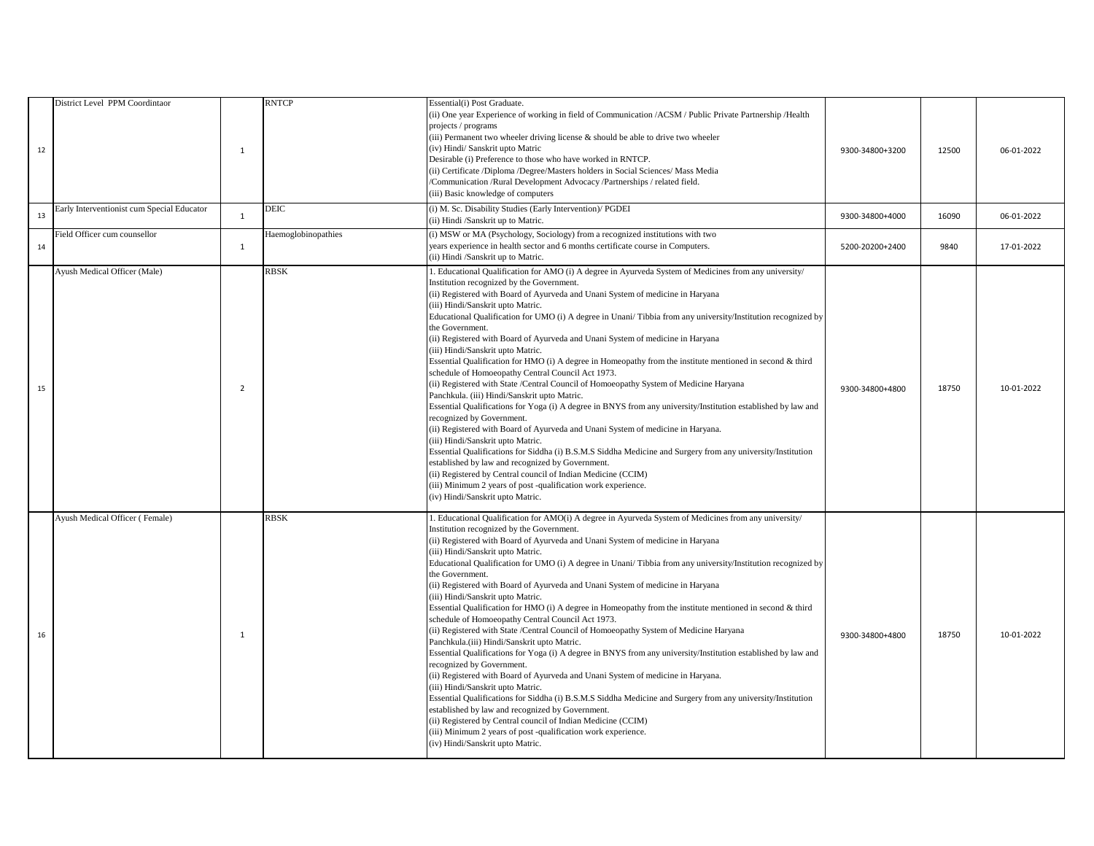| 12 | District Level PPM Coordintaor             | $\mathbf{1}$ | RNTCP               | Essential(i) Post Graduate.<br>(ii) One year Experience of working in field of Communication /ACSM / Public Private Partnership /Health<br>projects / programs<br>(iii) Permanent two wheeler driving license & should be able to drive two wheeler<br>(iv) Hindi/ Sanskrit upto Matric<br>Desirable (i) Preference to those who have worked in RNTCP.<br>(ii) Certificate /Diploma /Degree/Masters holders in Social Sciences/ Mass Media<br>Communication /Rural Development Advocacy /Partnerships / related field.<br>(iii) Basic knowledge of computers                                                                                                                                                                                                                                                                                                                                                                                                                                                                                                                                                                                                                                                                                                                                                                                                                                                                                                   | 9300-34800+3200 | 12500 | 06-01-2022 |
|----|--------------------------------------------|--------------|---------------------|----------------------------------------------------------------------------------------------------------------------------------------------------------------------------------------------------------------------------------------------------------------------------------------------------------------------------------------------------------------------------------------------------------------------------------------------------------------------------------------------------------------------------------------------------------------------------------------------------------------------------------------------------------------------------------------------------------------------------------------------------------------------------------------------------------------------------------------------------------------------------------------------------------------------------------------------------------------------------------------------------------------------------------------------------------------------------------------------------------------------------------------------------------------------------------------------------------------------------------------------------------------------------------------------------------------------------------------------------------------------------------------------------------------------------------------------------------------|-----------------|-------|------------|
| 13 | Early Interventionist cum Special Educator | $\mathbf{1}$ | <b>DEIC</b>         | i) M. Sc. Disability Studies (Early Intervention)/ PGDEI<br>ii) Hindi /Sanskrit up to Matric.                                                                                                                                                                                                                                                                                                                                                                                                                                                                                                                                                                                                                                                                                                                                                                                                                                                                                                                                                                                                                                                                                                                                                                                                                                                                                                                                                                  | 9300-34800+4000 | 16090 | 06-01-2022 |
| 14 | Field Officer cum counsellor               | 1            | Haemoglobinopathies | (i) MSW or MA (Psychology, Sociology) from a recognized institutions with two<br>years experience in health sector and 6 months certificate course in Computers.<br>(ii) Hindi /Sanskrit up to Matric.                                                                                                                                                                                                                                                                                                                                                                                                                                                                                                                                                                                                                                                                                                                                                                                                                                                                                                                                                                                                                                                                                                                                                                                                                                                         | 5200-20200+2400 | 9840  | 17-01-2022 |
| 15 | Ayush Medical Officer (Male)               | 2            | RBSK                | . Educational Qualification for AMO (i) A degree in Ayurveda System of Medicines from any university/<br>Institution recognized by the Government.<br>ii) Registered with Board of Ayurveda and Unani System of medicine in Haryana<br>(iii) Hindi/Sanskrit upto Matric.<br>Educational Qualification for UMO (i) A degree in Unani/Tibbia from any university/Institution recognized by<br>the Government.<br>(ii) Registered with Board of Ayurveda and Unani System of medicine in Haryana<br>(iii) Hindi/Sanskrit upto Matric.<br>Essential Qualification for HMO (i) A degree in Homeopathy from the institute mentioned in second $\&$ third<br>schedule of Homoeopathy Central Council Act 1973.<br>(ii) Registered with State / Central Council of Homoeopathy System of Medicine Haryana<br>Panchkula. (iii) Hindi/Sanskrit upto Matric.<br>Essential Qualifications for Yoga (i) A degree in BNYS from any university/Institution established by law and<br>ecognized by Government.<br>(ii) Registered with Board of Ayurveda and Unani System of medicine in Haryana.<br>(iii) Hindi/Sanskrit upto Matric.<br>Essential Qualifications for Siddha (i) B.S.M.S Siddha Medicine and Surgery from any university/Institution<br>established by law and recognized by Government.<br>(ii) Registered by Central council of Indian Medicine (CCIM)<br>(iii) Minimum 2 years of post -qualification work experience.<br>(iv) Hindi/Sanskrit upto Matric. | 9300-34800+4800 | 18750 | 10-01-2022 |
| 16 | Ayush Medical Officer (Female)             | 1            | <b>RBSK</b>         | L. Educational Qualification for AMO(i) A degree in Ayurveda System of Medicines from any university/<br>Institution recognized by the Government.<br>(ii) Registered with Board of Ayurveda and Unani System of medicine in Haryana<br>(iii) Hindi/Sanskrit upto Matric.<br>Educational Qualification for UMO (i) A degree in Unani/ Tibbia from any university/Institution recognized by<br>the Government.<br>(ii) Registered with Board of Ayurveda and Unani System of medicine in Haryana<br>(iii) Hindi/Sanskrit upto Matric.<br>Essential Qualification for HMO (i) A degree in Homeopathy from the institute mentioned in second & third<br>schedule of Homoeopathy Central Council Act 1973.<br>(ii) Registered with State / Central Council of Homoeopathy System of Medicine Haryana<br>Panchkula.(iii) Hindi/Sanskrit upto Matric.<br>Essential Qualifications for Yoga (i) A degree in BNYS from any university/Institution established by law and<br>recognized by Government.<br>(ii) Registered with Board of Ayurveda and Unani System of medicine in Haryana.<br>(iii) Hindi/Sanskrit upto Matric.<br>Essential Qualifications for Siddha (i) B.S.M.S Siddha Medicine and Surgery from any university/Institution<br>established by law and recognized by Government.<br>(ii) Registered by Central council of Indian Medicine (CCIM)<br>(iii) Minimum 2 years of post -qualification work experience.<br>(iv) Hindi/Sanskrit upto Matric.  | 9300-34800+4800 | 18750 | 10-01-2022 |